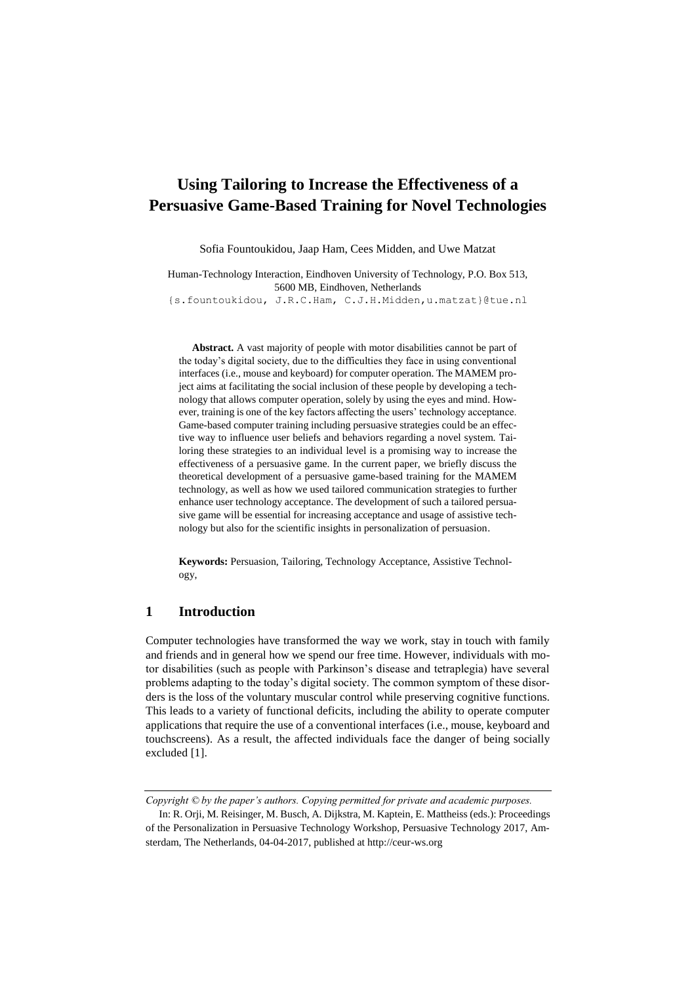# <span id="page-0-0"></span>**Using Tailoring to Increase the Effectiveness of a Persuasive Game-Based Training for Novel Technologies**

Sofia Fountoukidou, Jaap Ham, Cees Midden, and Uwe Matzat

Human-Technology Interaction, Eindhoven University of Technology, P.O. Box 513, 5600 MB, Eindhoven, Netherlands

{s.fountoukidou, J.R.C.Ham, C.J.H.Midden,u.matzat}@tue.nl

**Abstract.** A vast majority of people with motor disabilities cannot be part of the today's digital society, due to the difficulties they face in using conventional interfaces (i.e., mouse and keyboard) for computer operation. The MAMEM project aims at facilitating the social inclusion of these people by developing a technology that allows computer operation, solely by using the eyes and mind. However, training is one of the key factors affecting the users' technology acceptance. Game-based computer training including persuasive strategies could be an effective way to influence user beliefs and behaviors regarding a novel system. Tailoring these strategies to an individual level is a promising way to increase the effectiveness of a persuasive game. In the current paper, we briefly discuss the theoretical development of a persuasive game-based training for the MAMEM technology, as well as how we used tailored communication strategies to further enhance user technology acceptance. The development of such a tailored persuasive game will be essential for increasing acceptance and usage of assistive technology but also for the scientific insights in personalization of persuasion.

**Keywords:** Persuasion, Tailoring, Technology Acceptance, Assistive Technology,

## **1 Introduction**

Computer technologies have transformed the way we work, stay in touch with family and friends and in general how we spend our free time. However, individuals with motor disabilities (such as people with Parkinson's disease and tetraplegia) have several problems adapting to the today's digital society. The common symptom of these disorders is the loss of the voluntary muscular control while preserving cognitive functions. This leads to a variety of functional deficits, including the ability to operate computer applications that require the use of a conventional interfaces (i.e., mouse, keyboard and touchscreens). As a result, the affected individuals face the danger of being socially excluded [1].

*Copyright © by the paper's authors. Copying permitted for private and academic purposes.*

In: R. Orji, M. Reisinger, M. Busch, A. Dijkstra, M. Kaptein, E. Mattheiss (eds.): Proceedings of the Personalization in Persuasive Technology Workshop, Persuasive Technology 2017, Amsterdam, The Netherlands, 04-04-2017, published at http://ceur-ws.org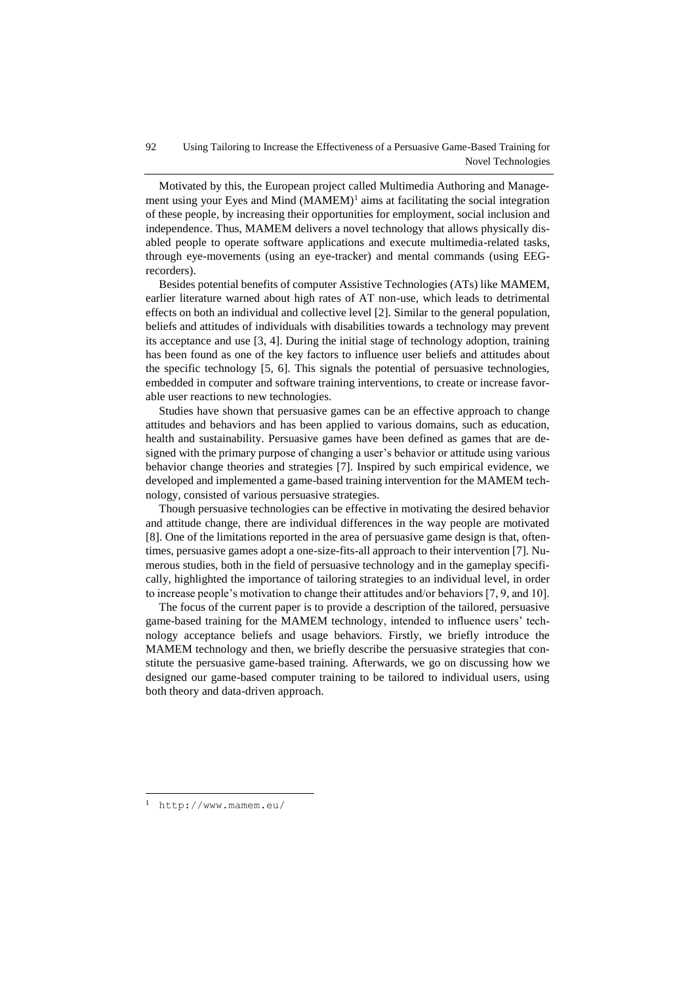Motivated by this, the European project called Multimedia Authoring and Management using your Eyes and Mind  $(MAMEM)^1$  aims at facilitating the social integration of these people, by increasing their opportunities for employment, social inclusion and independence. Thus, MAMEM delivers a novel technology that allows physically disabled people to operate software applications and execute multimedia-related tasks, through eye-movements (using an eye-tracker) and mental commands (using EEGrecorders).

Besides potential benefits of computer Assistive Technologies (ATs) like MAMEM, earlier literature warned about high rates of AT non-use, which leads to detrimental effects on both an individual and collective level [2]. Similar to the general population, beliefs and attitudes of individuals with disabilities towards a technology may prevent its acceptance and use [3, 4]. During the initial stage of technology adoption, training has been found as one of the key factors to influence user beliefs and attitudes about the specific technology [5, 6]. This signals the potential of persuasive technologies, embedded in computer and software training interventions, to create or increase favorable user reactions to new technologies.

Studies have shown that persuasive games can be an effective approach to change attitudes and behaviors and has been applied to various domains, such as education, health and sustainability. Persuasive games have been defined as games that are designed with the primary purpose of changing a user's behavior or attitude using various behavior change theories and strategies [7]. Inspired by such empirical evidence, we developed and implemented a game-based training intervention for the MAMEM technology, consisted of various persuasive strategies.

Though persuasive technologies can be effective in motivating the desired behavior and attitude change, there are individual differences in the way people are motivated [8]. One of the limitations reported in the area of persuasive game design is that, oftentimes, persuasive games adopt a one-size-fits-all approach to their intervention [7]. Numerous studies, both in the field of persuasive technology and in the gameplay specifically, highlighted the importance of tailoring strategies to an individual level, in order to increase people's motivation to change their attitudes and/or behaviors [7, 9, and 10].

The focus of the current paper is to provide a description of the tailored, persuasive game-based training for the MAMEM technology, intended to influence users' technology acceptance beliefs and usage behaviors. Firstly, we briefly introduce the MAMEM technology and then, we briefly describe the persuasive strategies that constitute the persuasive game-based training. Afterwards, we go on discussing how we designed our game-based computer training to be tailored to individual users, using both theory and data-driven approach.

 $\overline{a}$ 

<sup>1</sup> <http://www.mamem.eu/>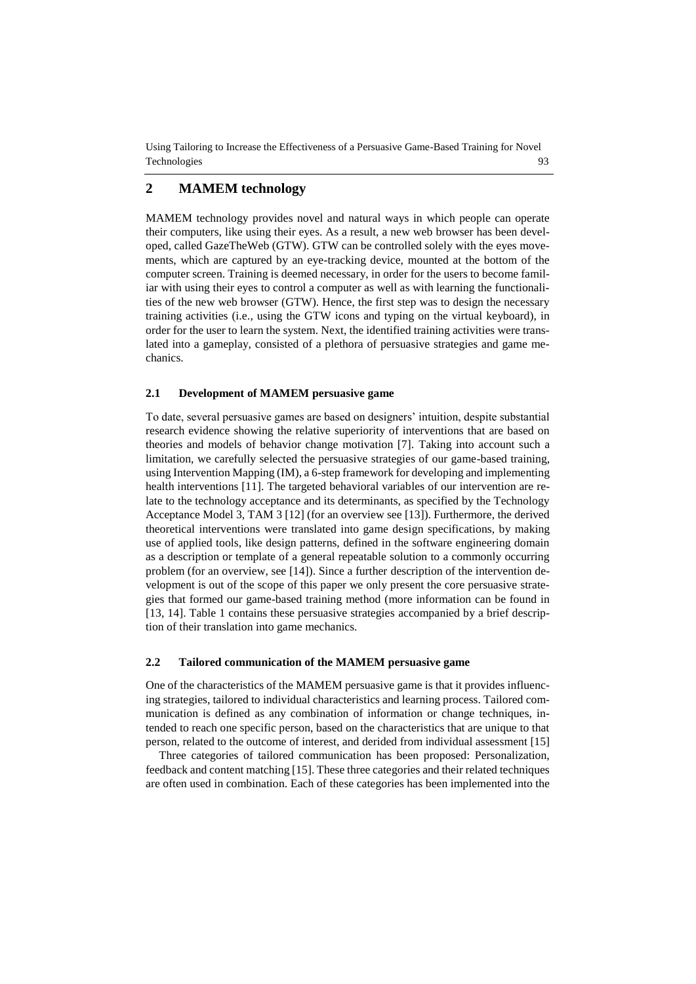Using Tailoring [to Increase the Effectiveness of a Persuasive Game-Based Training for](#page-0-0) Novel [Technologies](#page-0-0) 93

## **2 MAMEM technology**

MAMEM technology provides novel and natural ways in which people can operate their computers, like using their eyes. As a result, a new web browser has been developed, called GazeTheWeb (GTW). GTW can be controlled solely with the eyes movements, which are captured by an eye-tracking device, mounted at the bottom of the computer screen. Training is deemed necessary, in order for the users to become familiar with using their eyes to control a computer as well as with learning the functionalities of the new web browser (GTW). Hence, the first step was to design the necessary training activities (i.e., using the GTW icons and typing on the virtual keyboard), in order for the user to learn the system. Next, the identified training activities were translated into a gameplay, consisted of a plethora of persuasive strategies and game mechanics.

#### **2.1 Development of MAMEM persuasive game**

To date, several persuasive games are based on designers' intuition, despite substantial research evidence showing the relative superiority of interventions that are based on theories and models of behavior change motivation [7]. Taking into account such a limitation, we carefully selected the persuasive strategies of our game-based training, using Intervention Mapping (IM), a 6-step framework for developing and implementing health interventions [11]. The targeted behavioral variables of our intervention are relate to the technology acceptance and its determinants, as specified by the Technology Acceptance Model 3, TAM 3 [12] (for an overview see [13]). Furthermore, the derived theoretical interventions were translated into game design specifications, by making use of applied tools, like design patterns, defined in the software engineering domain as a description or template of a general repeatable solution to a commonly occurring problem (for an overview, see [14]). Since a further description of the intervention development is out of the scope of this paper we only present the core persuasive strategies that formed our game-based training method (more information can be found in [13, 14]. Table 1 contains these persuasive strategies accompanied by a brief description of their translation into game mechanics.

#### **2.2 Tailored communication of the MAMEM persuasive game**

One of the characteristics of the MAMEM persuasive game is that it provides influencing strategies, tailored to individual characteristics and learning process. Tailored communication is defined as any combination of information or change techniques, intended to reach one specific person, based on the characteristics that are unique to that person, related to the outcome of interest, and derided from individual assessment [15]

Three categories of tailored communication has been proposed: Personalization, feedback and content matching [15]. These three categories and their related techniques are often used in combination. Each of these categories has been implemented into the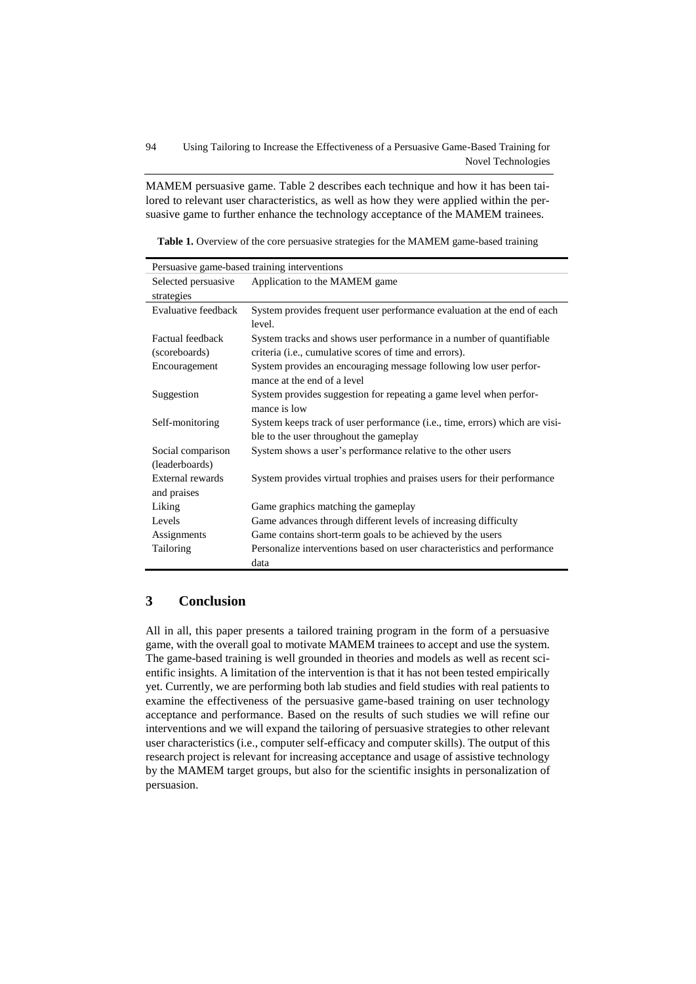MAMEM persuasive game. Table 2 describes each technique and how it has been tailored to relevant user characteristics, as well as how they were applied within the persuasive game to further enhance the technology acceptance of the MAMEM trainees.

**Table 1.** Overview of the core persuasive strategies for the MAMEM game-based training

| Persuasive game-based training interventions |                                                                             |  |  |  |
|----------------------------------------------|-----------------------------------------------------------------------------|--|--|--|
| Selected persuasive                          | Application to the MAMEM game                                               |  |  |  |
| strategies                                   |                                                                             |  |  |  |
| Evaluative feedback                          | System provides frequent user performance evaluation at the end of each     |  |  |  |
|                                              | level.                                                                      |  |  |  |
| <b>Factual feedback</b>                      | System tracks and shows user performance in a number of quantifiable        |  |  |  |
| (scoreboards)                                | criteria ( <i>i.e.</i> , cumulative scores of time and errors).             |  |  |  |
| Encouragement                                | System provides an encouraging message following low user perfor-           |  |  |  |
|                                              | mance at the end of a level                                                 |  |  |  |
| Suggestion                                   | System provides suggestion for repeating a game level when perfor-          |  |  |  |
|                                              | mance is low                                                                |  |  |  |
| Self-monitoring                              | System keeps track of user performance (i.e., time, errors) which are visi- |  |  |  |
|                                              | ble to the user throughout the gameplay                                     |  |  |  |
| Social comparison                            | System shows a user's performance relative to the other users               |  |  |  |
| (leaderboards)                               |                                                                             |  |  |  |
| External rewards                             | System provides virtual trophies and praises users for their performance    |  |  |  |
| and praises                                  |                                                                             |  |  |  |
| Liking                                       | Game graphics matching the gameplay                                         |  |  |  |
| Levels                                       | Game advances through different levels of increasing difficulty             |  |  |  |
| Assignments                                  | Game contains short-term goals to be achieved by the users                  |  |  |  |
| Tailoring                                    | Personalize interventions based on user characteristics and performance     |  |  |  |
|                                              | data                                                                        |  |  |  |

### **3 Conclusion**

All in all, this paper presents a tailored training program in the form of a persuasive game, with the overall goal to motivate MAMEM trainees to accept and use the system. The game-based training is well grounded in theories and models as well as recent scientific insights. A limitation of the intervention is that it has not been tested empirically yet. Currently, we are performing both lab studies and field studies with real patients to examine the effectiveness of the persuasive game-based training on user technology acceptance and performance. Based on the results of such studies we will refine our interventions and we will expand the tailoring of persuasive strategies to other relevant user characteristics (i.e., computer self-efficacy and computer skills). The output of this research project is relevant for increasing acceptance and usage of assistive technology by the MAMEM target groups, but also for the scientific insights in personalization of persuasion.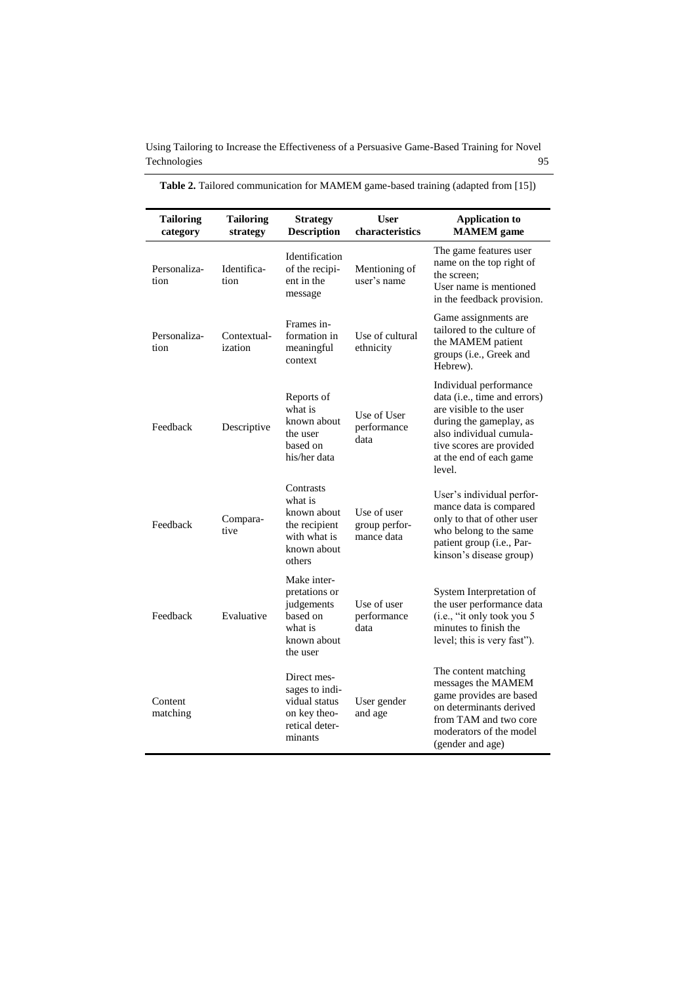Using Tailoring [to Increase the Effectiveness of a Persuasive Game-Based Training for](#page-0-0) Novel [Technologies](#page-0-0) 95

| <b>Tailoring</b><br>category | <b>Tailoring</b><br>strategy | <b>Strategy</b><br><b>Description</b>                                                         | <b>User</b><br>characteristics             | <b>Application to</b><br><b>MAMEM</b> game                                                                                                                                                                        |
|------------------------------|------------------------------|-----------------------------------------------------------------------------------------------|--------------------------------------------|-------------------------------------------------------------------------------------------------------------------------------------------------------------------------------------------------------------------|
| Personaliza-<br>tion         | Identifica-<br>tion          | <b>Identification</b><br>of the recipi-<br>ent in the<br>message                              | Mentioning of<br>user's name               | The game features user<br>name on the top right of<br>the screen:<br>User name is mentioned<br>in the feedback provision.                                                                                         |
| Personaliza-<br>tion         | Contextual-<br>ization       | Frames in-<br>formation in<br>meaningful<br>context                                           | Use of cultural<br>ethnicity               | Game assignments are<br>tailored to the culture of<br>the MAMEM patient<br>groups (i.e., Greek and<br>Hebrew).                                                                                                    |
| Feedback                     | Descriptive                  | Reports of<br>what is<br>known about<br>the user<br>based on<br>his/her data                  | Use of User<br>performance<br>data         | Individual performance<br>data ( <i>i.e.</i> , time and errors)<br>are visible to the user<br>during the gameplay, as<br>also individual cumula-<br>tive scores are provided<br>at the end of each game<br>level. |
| Feedback                     | Compara-<br>tive             | Contrasts<br>what is<br>known about<br>the recipient<br>with what is<br>known about<br>others | Use of user<br>group perfor-<br>mance data | User's individual perfor-<br>mance data is compared<br>only to that of other user<br>who belong to the same<br>patient group (i.e., Par-<br>kinson's disease group)                                               |
| Feedback                     | Evaluative                   | Make inter-<br>pretations or<br>judgements<br>based on<br>what is<br>known about<br>the user  | Use of user<br>performance<br>data         | System Interpretation of<br>the user performance data<br>(i.e., "it only took you 5<br>minutes to finish the<br>level; this is very fast").                                                                       |
| Content<br>matching          |                              | Direct mes-<br>sages to indi-<br>vidual status<br>on key theo-<br>retical deter-<br>minants   | User gender<br>and age                     | The content matching<br>messages the MAMEM<br>game provides are based<br>on determinants derived<br>from TAM and two core<br>moderators of the model<br>(gender and age)                                          |

**Table 2.** Tailored communication for MAMEM game-based training (adapted from [15])